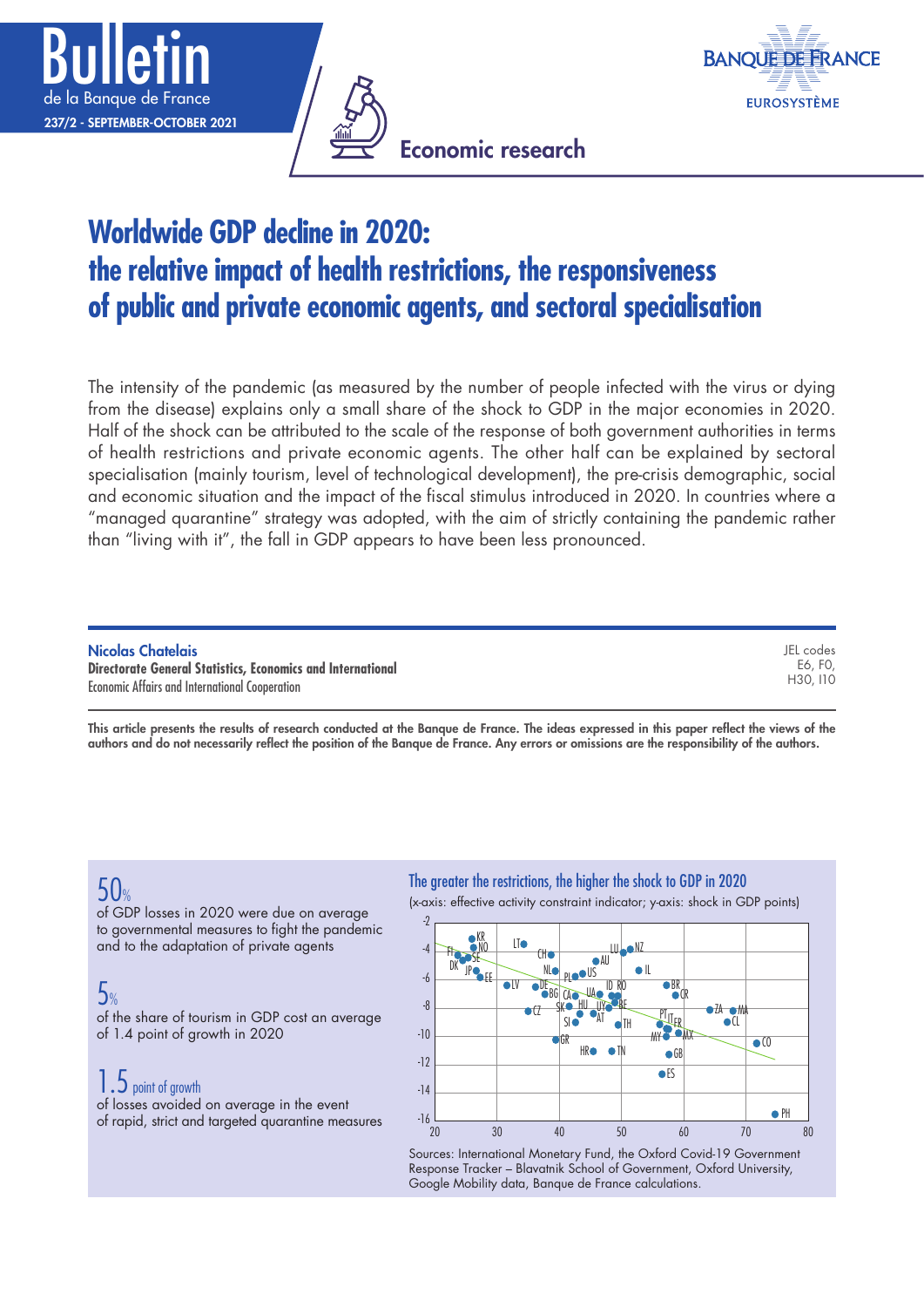





## **Worldwide GDP decline in 2020: the relative impact of health restrictions, the responsiveness of public and private economic agents, and sectoral specialisation**

The intensity of the pandemic (as measured by the number of people infected with the virus or dying from the disease) explains only a small share of the shock to GDP in the major economies in 2020. Half of the shock can be attributed to the scale of the response of both government authorities in terms of health restrictions and private economic agents. The other half can be explained by sectoral specialisation (mainly tourism, level of technological development), the pre-crisis demographic, social and economic situation and the impact of the fiscal stimulus introduced in 2020. In countries where a "managed quarantine" strategy was adopted, with the aim of strictly containing the pandemic rather than "living with it", the fall in GDP appears to have been less pronounced.

| Nicolas Chatelais                                                  | JEL codes |
|--------------------------------------------------------------------|-----------|
| <b>Directorate General Statistics, Economics and International</b> | E6. F0.   |
| <b>Economic Affairs and International Cooperation</b>              | H30. I10  |

This article presents the results of research conducted at the Banque de France. The ideas expressed in this paper reflect the views of the authors and do not necessarily reflect the position of the Banque de France. Any errors or omissions are the responsibility of the authors.

## $50%$

of GDP losses in 2020 were due on average to governmental measures to fight the pandemic and to the adaptation of private agents

## 5%

of the share of tourism in GDP cost an average of 1.4 point of growth in 2020

## 1.5 point of growth

of losses avoided on average in the event of rapid, strict and targeted quarantine measures

#### The greater the restrictions, the higher the shock to GDP in 2020

(x‑axis: effective activity constraint indicator; y‑axis: shock in GDP points)



Sources: International Monetary Fund, the Oxford Covid-19 Government Response Tracker – Blavatnik School of Government, Oxford University, Google Mobility data, Banque de France calculations.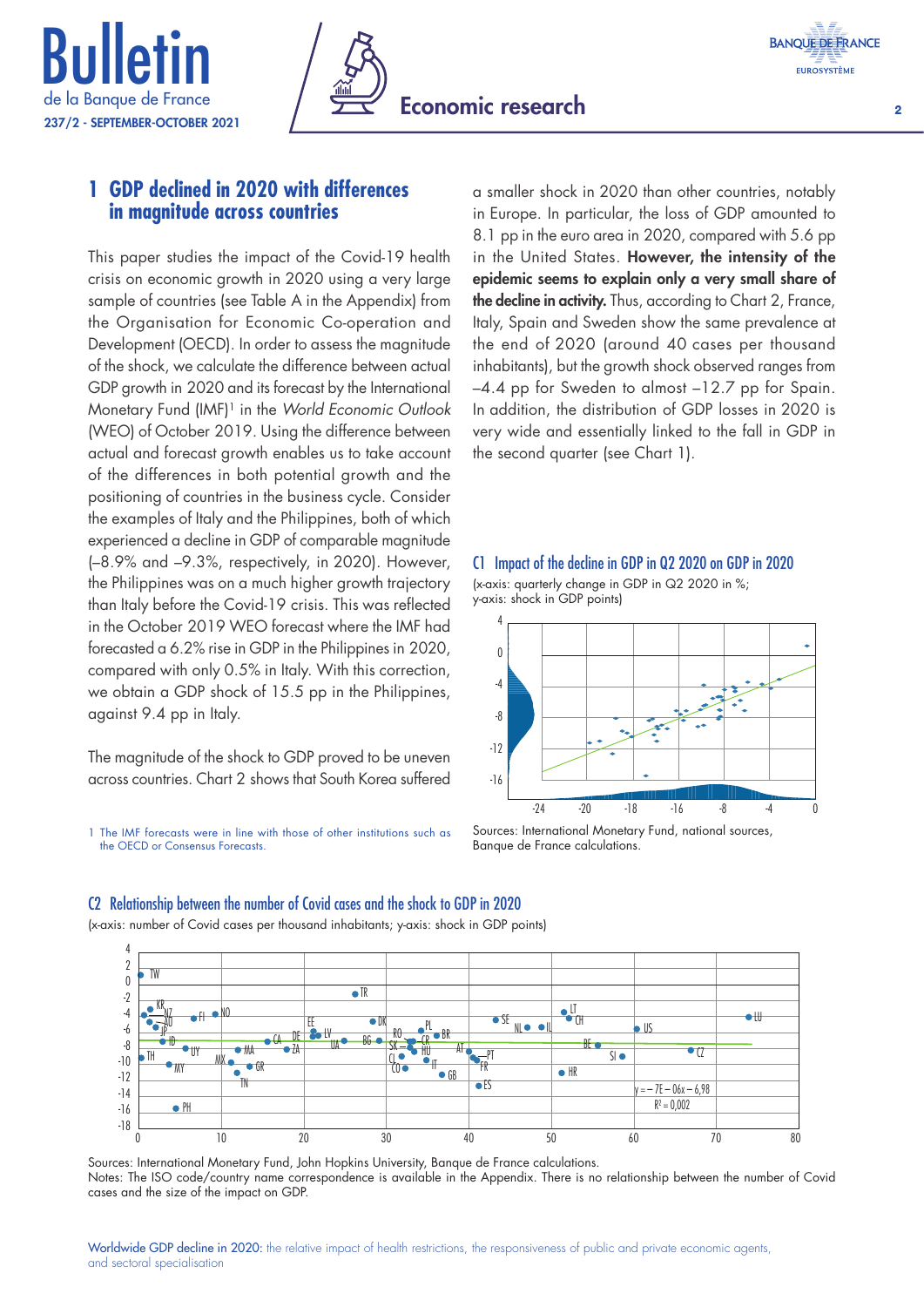





### **1 GDP declined in 2020 with differences in magnitude across countries**

This paper studies the impact of the Covid-19 health crisis on economic growth in 2020 using a very large sample of countries (see Table A in the Appendix) from the Organisation for Economic Co‑operation and Development (OECD). In order to assess the magnitude of the shock, we calculate the difference between actual GDP growth in 2020 and its forecast by the International Monetary Fund (IMF)1 in the *World Economic Outlook* (WEO) of October 2019. Using the difference between actual and forecast growth enables us to take account of the differences in both potential growth and the positioning of countries in the business cycle. Consider the examples of Italy and the Philippines, both of which experienced a decline in GDP of comparable magnitude (–8.9% and –9.3%, respectively, in 2020). However, the Philippines was on a much higher growth trajectory than Italy before the Covid‑19 crisis. This was reflected in the October 2019 WEO forecast where the IMF had forecasted a 6.2% rise in GDP in the Philippines in 2020, compared with only 0.5% in Italy. With this correction, we obtain a GDP shock of 15.5 pp in the Philippines, against 9.4 pp in Italy.

The magnitude of the shock to GDP proved to be uneven across countries. Chart 2 shows that South Korea suffered

1 The IMF forecasts were in line with those of other institutions such as the OECD or Consensus Forecasts.

a smaller shock in 2020 than other countries, notably in Europe. In particular, the loss of GDP amounted to 8.1 pp in the euro area in 2020, compared with 5.6 pp in the United States. However, the intensity of the epidemic seems to explain only a very small share of the decline in activity. Thus, according to Chart 2, France, Italy, Spain and Sweden show the same prevalence at the end of 2020 (around 40 cases per thousand inhabitants), but the growth shock observed ranges from –4.4 pp for Sweden to almost –12.7 pp for Spain. In addition, the distribution of GDP losses in 2020 is very wide and essentially linked to the fall in GDP in the second quarter (see Chart 1).

#### C1 Impact of the decline in GDP in Q2 2020 on GDP in 2020 (x‑axis: quarterly change in GDP in Q2 2020 in %; y‑axis: shock in GDP points)



Sources: International Monetary Fund, national sources, Banque de France calculations.

#### C2 Relationship between the number of Covid cases and the shock to GDP in 2020

(x‑axis: number of Covid cases per thousand inhabitants; y‑axis: shock in GDP points)



Sources: International Monetary Fund, John Hopkins University, Banque de France calculations. Notes: The ISO code/country name correspondence is available in the Appendix. There is no relationship between the number of Covid cases and the size of the impact on GDP.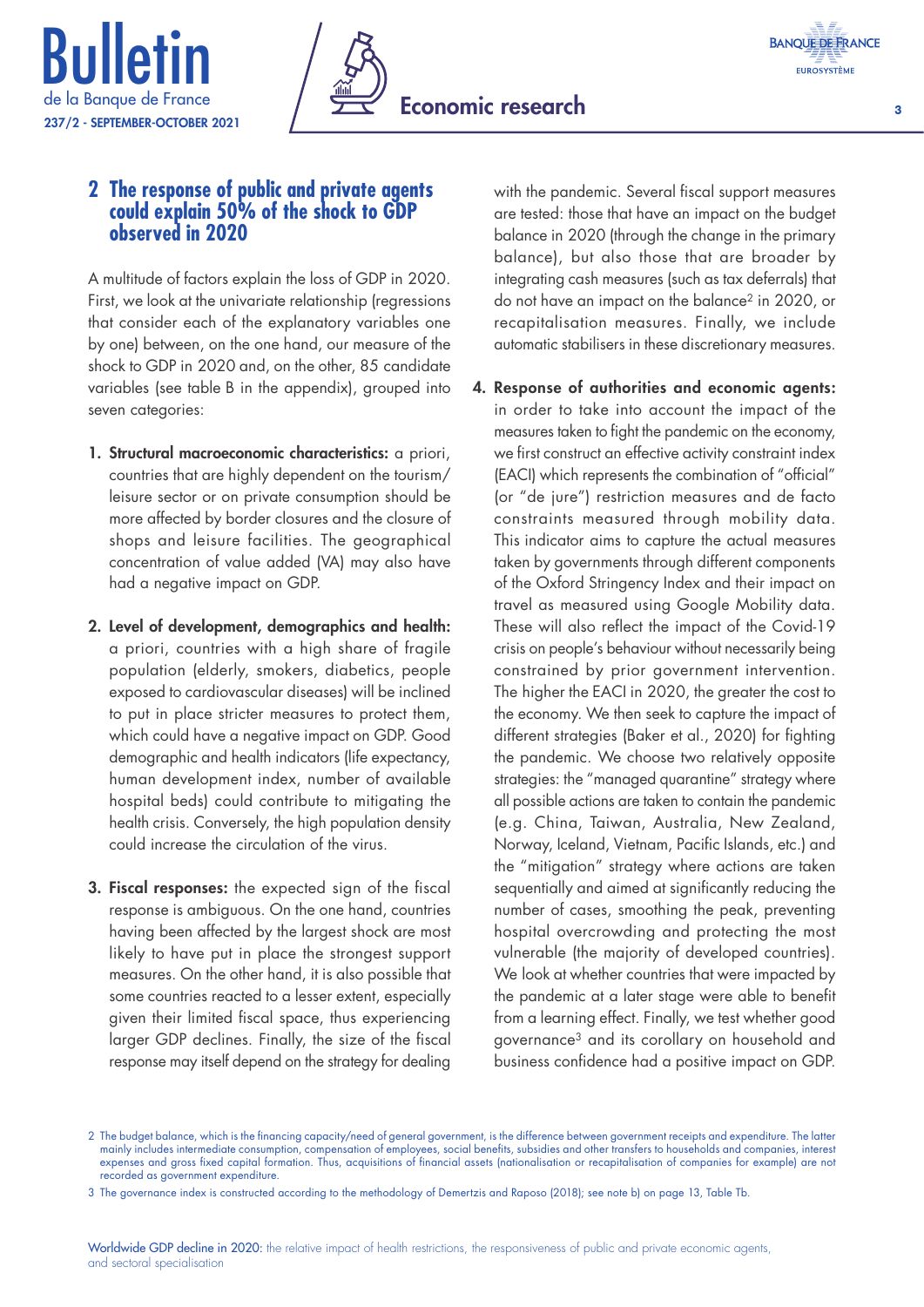





### **2 The response of public and private agents could explain 50% of the shock to GDP observed in 2020**

A multitude of factors explain the loss of GDP in 2020. First, we look at the univariate relationship (regressions that consider each of the explanatory variables one by one) between, on the one hand, our measure of the shock to GDP in 2020 and, on the other, 85 candidate variables (see table B in the appendix), grouped into seven categories:

- 1. Structural macroeconomic characteristics: a priori, countries that are highly dependent on the tourism/ leisure sector or on private consumption should be more affected by border closures and the closure of shops and leisure facilities. The geographical concentration of value added (VA) may also have had a negative impact on GDP.
- 2. Level of development, demographics and health: a priori, countries with a high share of fragile population (elderly, smokers, diabetics, people exposed to cardiovascular diseases) will be inclined to put in place stricter measures to protect them, which could have a negative impact on GDP. Good demographic and health indicators (life expectancy, human development index, number of available hospital beds) could contribute to mitigating the health crisis. Conversely, the high population density could increase the circulation of the virus.
- **3. Fiscal responses:** the expected sign of the fiscal response is ambiguous. On the one hand, countries having been affected by the largest shock are most likely to have put in place the strongest support measures. On the other hand, it is also possible that some countries reacted to a lesser extent, especially given their limited fiscal space, thus experiencing larger GDP declines. Finally, the size of the fiscal response may itself depend on the strategy for dealing

with the pandemic. Several fiscal support measures are tested: those that have an impact on the budget balance in 2020 (through the change in the primary balance), but also those that are broader by integrating cash measures (such as tax deferrals) that do not have an impact on the balance2 in 2020, or recapitalisation measures. Finally, we include automatic stabilisers in these discretionary measures.

### 4. Response of authorities and economic agents: in order to take into account the impact of the measures taken to fight the pandemic on the economy, we first construct an effective activity constraint index (EACI) which represents the combination of "official" (or "de jure") restriction measures and de facto constraints measured through mobility data. This indicator aims to capture the actual measures taken by governments through different components of the Oxford Stringency Index and their impact on travel as measured using Google Mobility data. These will also reflect the impact of the Covid-19 crisis on people's behaviour without necessarily being constrained by prior government intervention. The higher the EACI in 2020, the greater the cost to the economy. We then seek to capture the impact of different strategies (Baker et al., 2020) for fighting the pandemic. We choose two relatively opposite strategies: the "managed quarantine" strategy where all possible actions are taken to contain the pandemic (e.g. China, Taiwan, Australia, New Zealand, Norway, Iceland, Vietnam, Pacific Islands, etc.) and the "mitigation" strategy where actions are taken sequentially and aimed at significantly reducing the number of cases, smoothing the peak, preventing hospital overcrowding and protecting the most vulnerable (the majority of developed countries). We look at whether countries that were impacted by the pandemic at a later stage were able to benefit from a learning effect. Finally, we test whether good governance3 and its corollary on household and business confidence had a positive impact on GDP.

3 The governance index is constructed according to the methodology of Demertzis and Raposo (2018); see note b) on page 13, Table Tb.

<sup>2</sup> The budget balance, which is the financing capacity/need of general government, is the difference between government receipts and expenditure. The latter mainly includes intermediate consumption, compensation of employees, social benefits, subsidies and other transfers to households and companies, interest expenses and gross fixed capital formation. Thus, acquisitions of financial assets (nationalisation or recapitalisation of companies for example) are not recorded as government expenditure.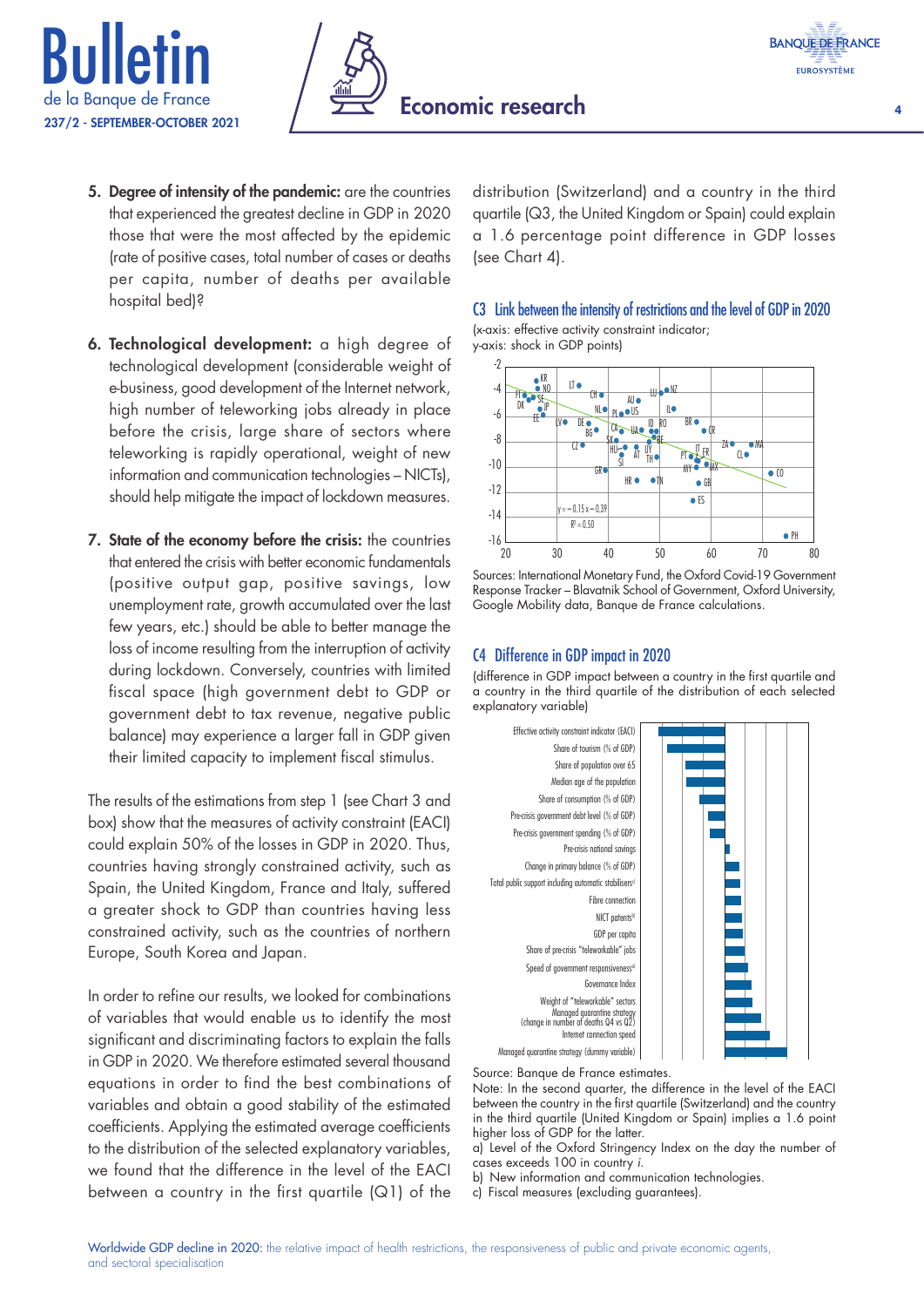





- 5. Degree of intensity of the pandemic: are the countries that experienced the greatest decline in GDP in 2020 those that were the most affected by the epidemic (rate of positive cases, total number of cases or deaths per capita, number of deaths per available hospital bed)?
- 6. Technological development: a high degree of technological development (considerable weight of e‑business, good development of the Internet network, high number of teleworking jobs already in place before the crisis, large share of sectors where teleworking is rapidly operational, weight of new information and communication technologies – NICTs), should help mitigate the impact of lockdown measures.
- 7. State of the economy before the crisis: the countries that entered the crisis with better economic fundamentals (positive output gap, positive savings, low unemployment rate, growth accumulated over the last few years, etc.) should be able to better manage the loss of income resulting from the interruption of activity during lockdown. Conversely, countries with limited fiscal space (high government debt to GDP or government debt to tax revenue, negative public balance) may experience a larger fall in GDP given their limited capacity to implement fiscal stimulus.

The results of the estimations from step 1 (see Chart 3 and box) show that the measures of activity constraint (EACI) could explain 50% of the losses in GDP in 2020. Thus, countries having strongly constrained activity, such as Spain, the United Kingdom, France and Italy, suffered a greater shock to GDP than countries having less constrained activity, such as the countries of northern Europe, South Korea and Japan.

In order to refine our results, we looked for combinations of variables that would enable us to identify the most significant and discriminating factors to explain the falls in GDP in 2020. We therefore estimated several thousand equations in order to find the best combinations of variables and obtain a good stability of the estimated coefficients. Applying the estimated average coefficients to the distribution of the selected explanatory variables, we found that the difference in the level of the EACI between a country in the first quartile (Q1) of the

distribution (Switzerland) and a country in the third quartile (Q3, the United Kingdom or Spain) could explain a 1.6 percentage point difference in GDP losses (see Chart 4).





Sources: International Monetary Fund, the Oxford Covid‑19 Government Response Tracker – Blavatnik School of Government, Oxford University, Google Mobility data, Banque de France calculations.

#### C4 Difference in GDP impact in 2020

(difference in GDP impact between a country in the first quartile and a country in the third quartile of the distribution of each selected explanatory variable)



Source: Banque de France estimates.

Note: In the second quarter, the difference in the level of the EACI between the country in the first quartile (Switzerland) and the country in the third quartile (United Kingdom or Spain) implies a 1.6 point higher loss of GDP for the latter.

a) Level of the Oxford Stringency Index on the day the number of cases exceeds 100 in country *i*.

b) New information and communication technologies.

c) Fiscal measures (excluding guarantees).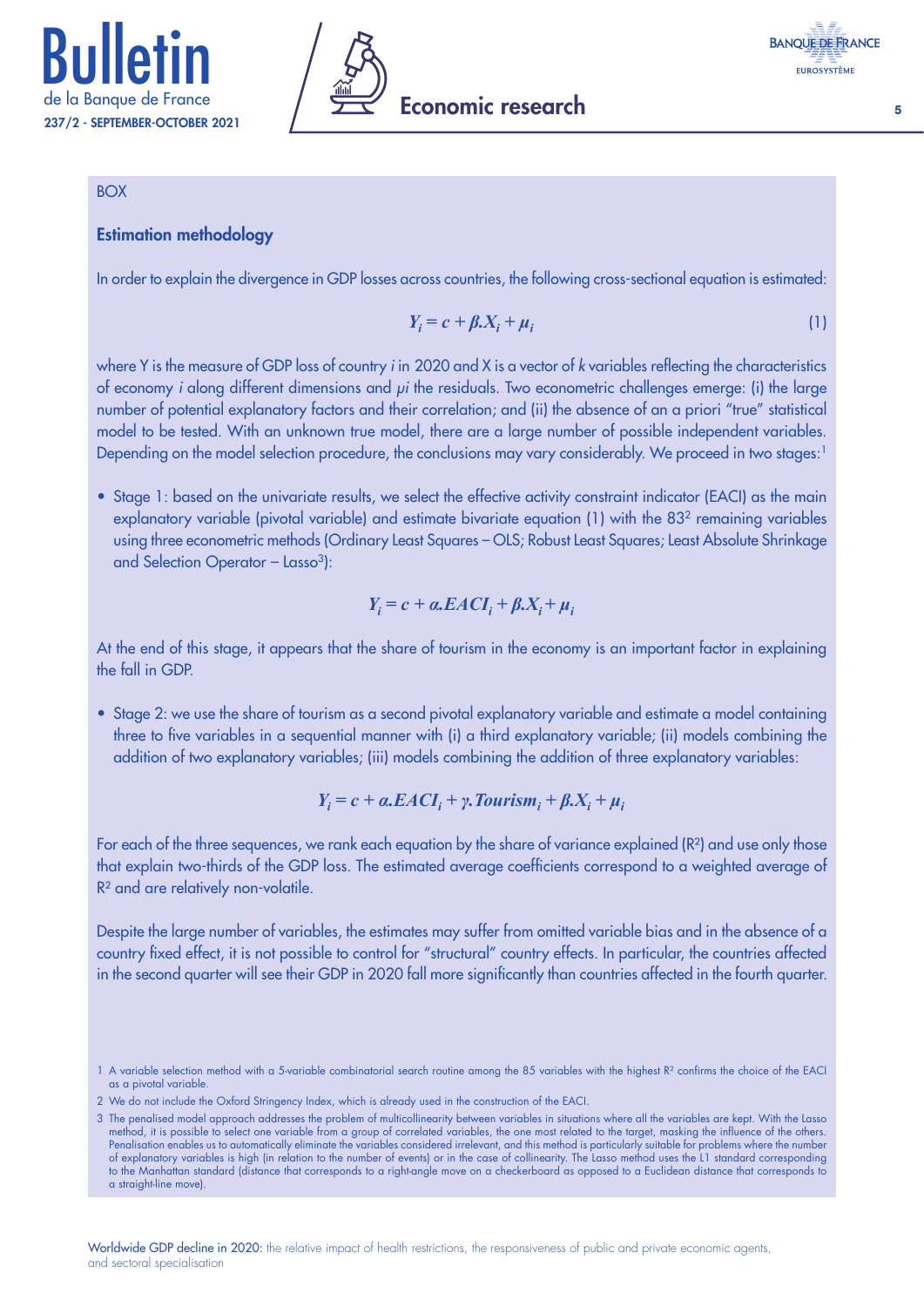



#### **BOX**

#### Estimation methodology

In order to explain the divergence in GDP losses across countries, the following cross-sectional equation is estimated:

$$
Y_i = c + \beta X_i + \mu_i \tag{1}
$$

where Y is the measure of GDP loss of country *i* in 2020 and X is a vector of *k* variables reflecting the characteristics of economy *i* along different dimensions and *μi* the residuals. Two econometric challenges emerge: (i) the large number of potential explanatory factors and their correlation; and (ii) the absence of an a priori "true" statistical model to be tested. With an unknown true model, there are a large number of possible independent variables. Depending on the model selection procedure, the conclusions may vary considerably. We proceed in two stages:<sup>1</sup>

• Stage 1: based on the univariate results, we select the effective activity constraint indicator (EACI) as the main explanatory variable (pivotal variable) and estimate bivariate equation (1) with the 832 remaining variables using three econometric methods (Ordinary Least Squares – OLS; Robust Least Squares; Least Absolute Shrinkage and Selection Operator - Lasso<sup>3</sup>):

$$
Y_i = c + \alpha.EACI_i + \beta.X_i + \mu_i
$$

At the end of this stage, it appears that the share of tourism in the economy is an important factor in explaining the fall in GDP.

• Stage 2: we use the share of tourism as a second pivotal explanatory variable and estimate a model containing three to five variables in a sequential manner with (i) a third explanatory variable; (ii) models combining the addition of two explanatory variables; (iii) models combining the addition of three explanatory variables:

$$
Y_i = c + a. EACI_i + \gamma. \text{Tourism}_i + \beta X_i + \mu_i
$$

For each of the three sequences, we rank each equation by the share of variance explained (R<sup>2</sup>) and use only those that explain two‑thirds of the GDP loss. The estimated average coefficients correspond to a weighted average of R<sup>2</sup> and are relatively non-volatile.

Despite the large number of variables, the estimates may suffer from omitted variable bias and in the absence of a country fixed effect, it is not possible to control for "structural" country effects. In particular, the countries affected in the second quarter will see their GDP in 2020 fall more significantly than countries affected in the fourth quarter.

<sup>1</sup> A variable selection method with a 5-variable combinatorial search routine among the 85 variables with the highest R<sup>2</sup> confirms the choice of the EACI as a pivotal variable.

<sup>2</sup> We do not include the Oxford Stringency Index, which is already used in the construction of the EACI.

<sup>3</sup> The penalised model approach addresses the problem of multicollinearity between variables in situations where all the variables are kept. With the Lasso method, it is possible to select one variable from a group of correlated variables, the one most related to the target, masking the influence of the others. Penalisation enables us to automatically eliminate the variables considered irrelevant, and this method is particularly suitable for problems where the number of explanatory variables is high (in relation to the number of events) or in the case of collinearity. The Lasso method uses the L1 standard corresponding to the Manhattan standard (distance that corresponds to a right-angle move on a checkerboard as opposed to a Euclidean distance that corresponds to a straight-line move)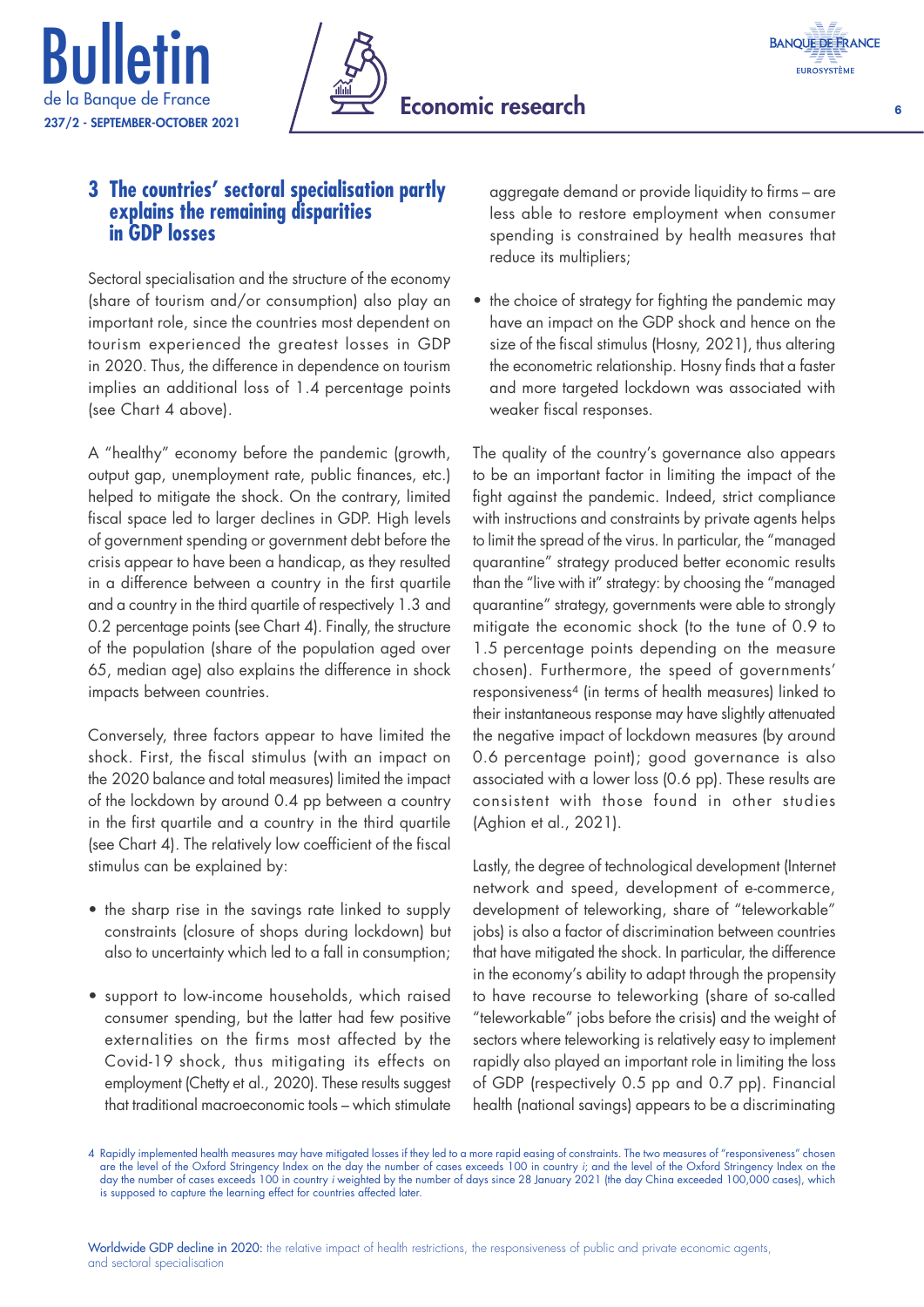





### **3 The countries' sectoral specialisation partly explains the remaining disparities in GDP losses**

Sectoral specialisation and the structure of the economy (share of tourism and/or consumption) also play an important role, since the countries most dependent on tourism experienced the greatest losses in GDP in 2020. Thus, the difference in dependence on tourism implies an additional loss of 1.4 percentage points (see Chart 4 above).

A "healthy" economy before the pandemic (growth, output gap, unemployment rate, public finances, etc.) helped to mitigate the shock. On the contrary, limited fiscal space led to larger declines in GDP. High levels of government spending or government debt before the crisis appear to have been a handicap, as they resulted in a difference between a country in the first quartile and a country in the third quartile of respectively 1.3 and 0.2 percentage points (see Chart 4). Finally, the structure of the population (share of the population aged over 65, median age) also explains the difference in shock impacts between countries.

Conversely, three factors appear to have limited the shock. First, the fiscal stimulus (with an impact on the 2020 balance and total measures) limited the impact of the lockdown by around 0.4 pp between a country in the first quartile and a country in the third quartile (see Chart 4). The relatively low coefficient of the fiscal stimulus can be explained by:

- the sharp rise in the savings rate linked to supply constraints (closure of shops during lockdown) but also to uncertainty which led to a fall in consumption;
- support to low‑income households, which raised consumer spending, but the latter had few positive externalities on the firms most affected by the Covid‑19 shock, thus mitigating its effects on employment (Chetty et al., 2020). These results suggest that traditional macroeconomic tools – which stimulate

aggregate demand or provide liquidity to firms – are less able to restore employment when consumer spending is constrained by health measures that reduce its multipliers;

• the choice of strategy for fighting the pandemic may have an impact on the GDP shock and hence on the size of the fiscal stimulus (Hosny, 2021), thus altering the econometric relationship. Hosny finds that a faster and more targeted lockdown was associated with weaker fiscal responses.

The quality of the country's governance also appears to be an important factor in limiting the impact of the fight against the pandemic. Indeed, strict compliance with instructions and constraints by private agents helps to limit the spread of the virus. In particular, the "managed quarantine" strategy produced better economic results than the "live with it" strategy: by choosing the "managed quarantine" strategy, governments were able to strongly mitigate the economic shock (to the tune of 0.9 to 1.5 percentage points depending on the measure chosen). Furthermore, the speed of governments' responsiveness4 (in terms of health measures) linked to their instantaneous response may have slightly attenuated the negative impact of lockdown measures (by around 0.6 percentage point); good governance is also associated with a lower loss (0.6 pp). These results are consistent with those found in other studies (Aghion et al., 2021).

Lastly, the degree of technological development (Internet network and speed, development of e‑commerce, development of teleworking, share of "teleworkable" jobs) is also a factor of discrimination between countries that have mitigated the shock. In particular, the difference in the economy's ability to adapt through the propensity to have recourse to teleworking (share of so‑called "teleworkable" jobs before the crisis) and the weight of sectors where teleworking is relatively easy to implement rapidly also played an important role in limiting the loss of GDP (respectively 0.5 pp and 0.7 pp). Financial health (national savings) appears to be a discriminating

<sup>4</sup> Rapidly implemented health measures may have mitigated losses if they led to a more rapid easing of constraints. The two measures of "responsiveness" chosen are the level of the Oxford Stringency Index on the day the number of cases exceeds 100 in country *i*; and the level of the Oxford Stringency Index on the day the number of cases exceeds 100 in country *i* weighted by the number of days since 28 January 2021 (the day China exceeded 100,000 cases), which is supposed to capture the learning effect for countries affected later.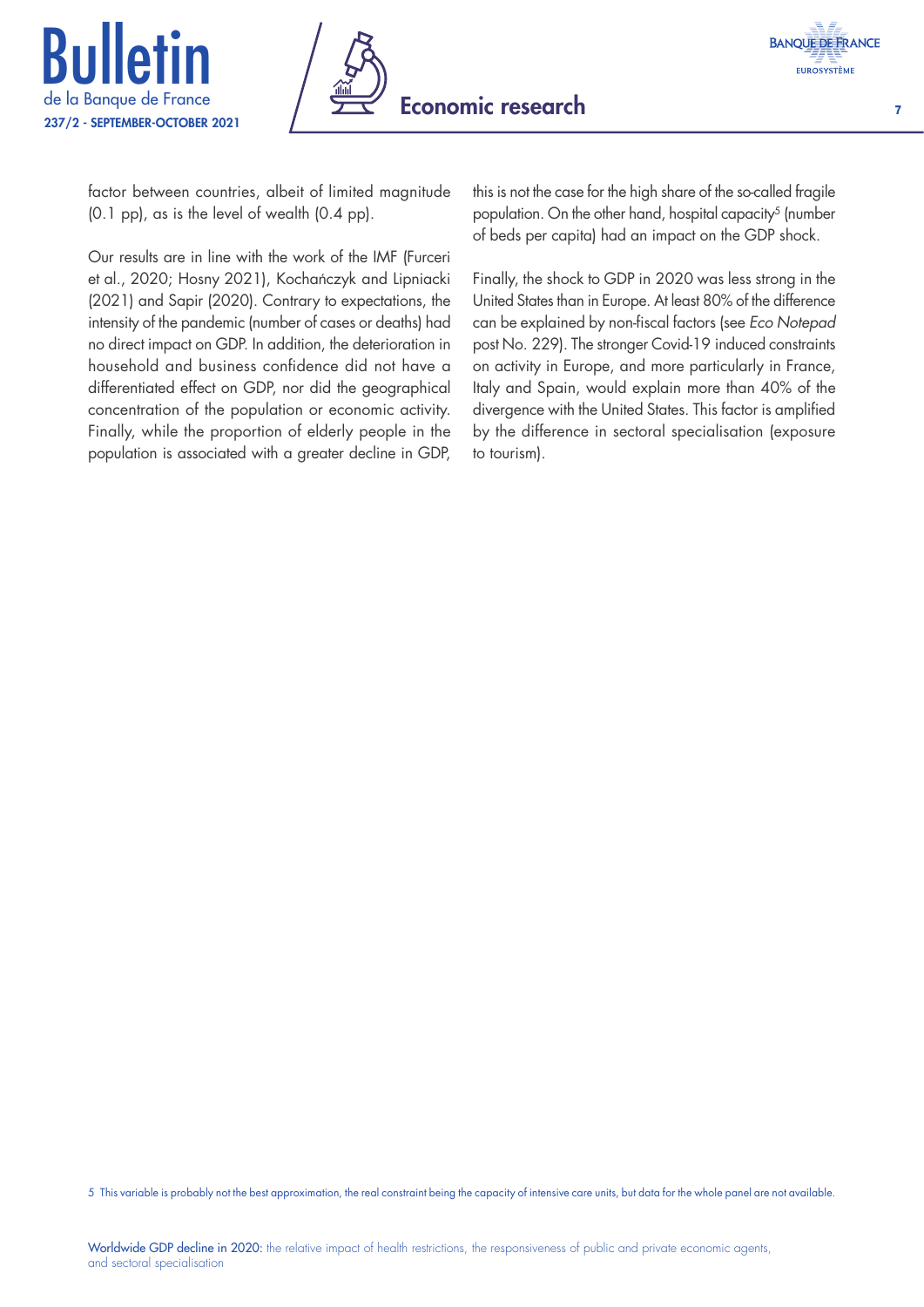





factor between countries, albeit of limited magnitude (0.1 pp), as is the level of wealth (0.4 pp).

Our results are in line with the work of the IMF (Furceri et al., 2020; Hosny 2021), Kochańczyk and Lipniacki (2021) and Sapir (2020). Contrary to expectations, the intensity of the pandemic (number of cases or deaths) had no direct impact on GDP. In addition, the deterioration in household and business confidence did not have a differentiated effect on GDP, nor did the geographical concentration of the population or economic activity. Finally, while the proportion of elderly people in the population is associated with a greater decline in GDP,

this is not the case for the high share of the so-called fragile population. On the other hand, hospital capacity<sup>5</sup> (number of beds per capita) had an impact on the GDP shock.

Finally, the shock to GDP in 2020 was less strong in the United States than in Europe. At least 80% of the difference can be explained by non‑fiscal factors (see *Eco Notepad* post No. 229). The stronger Covid-19 induced constraints on activity in Europe, and more particularly in France, Italy and Spain, would explain more than 40% of the divergence with the United States. This factor is amplified by the difference in sectoral specialisation (exposure to tourism).

5 This variable is probably not the best approximation, the real constraint being the capacity of intensive care units, but data for the whole panel are not available.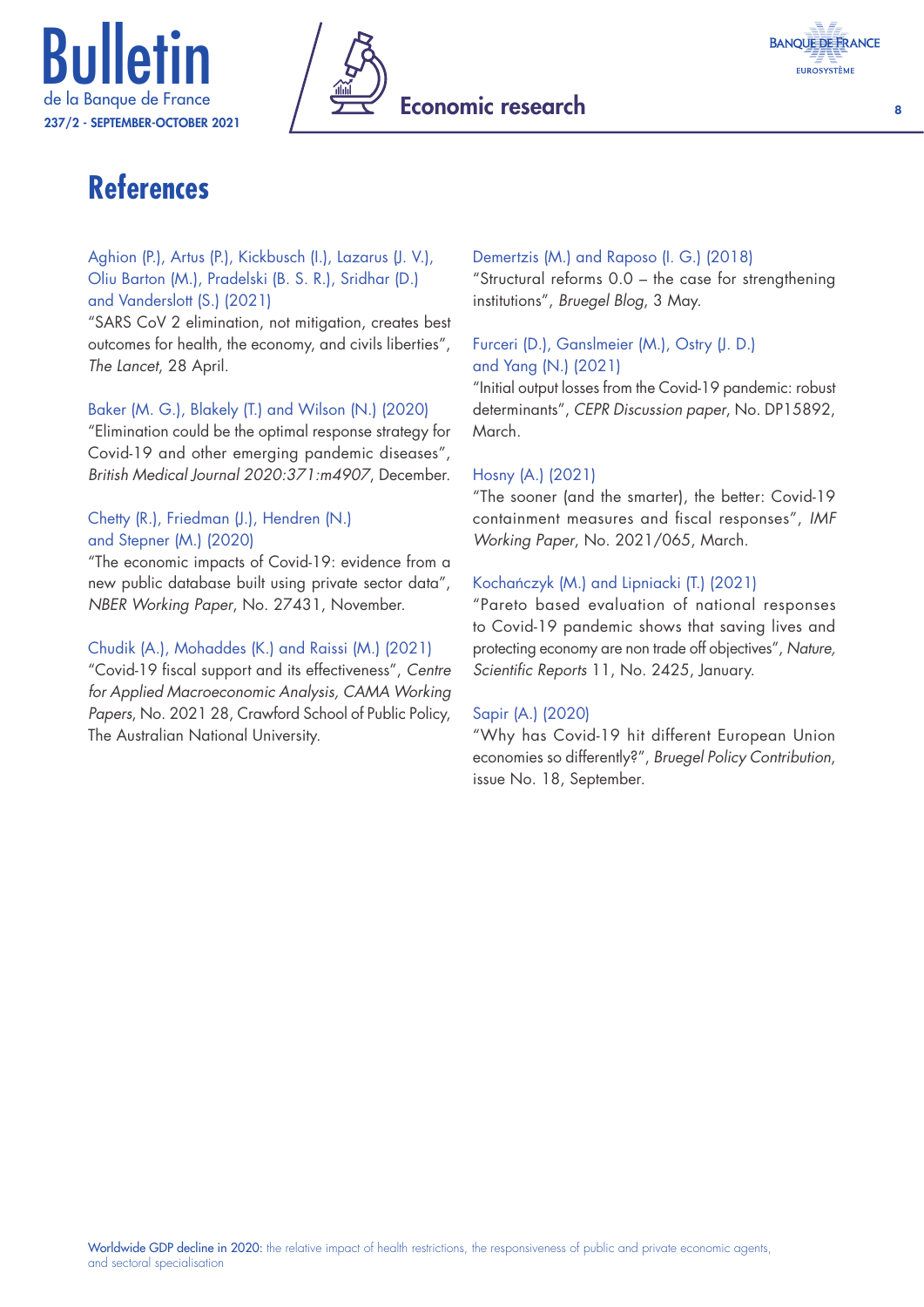



## **References**

#### Aghion (P.), Artus (P.), Kickbusch (I.), Lazarus (J. V.), Oliu Barton (M.), Pradelski (B. S. R.), Sridhar (D.) and Vanderslott (S.) (2021)

"SARS CoV 2 elimination, not mitigation, creates best outcomes for health, the economy, and civils liberties", *The Lancet*, 28 April.

#### Baker (M. G.), Blakely (T.) and Wilson (N.) (2020)

"Elimination could be the optimal response strategy for Covid‑19 and other emerging pandemic diseases", *British Medical Journal 2020:371:m4907*, December.

#### Chetty (R.), Friedman (J.), Hendren (N.) and Stepner (M.) (2020)

"The economic impacts of Covid‑19: evidence from a new public database built using private sector data", *NBER Working Paper*, No. 27431, November.

#### Chudik (A.), Mohaddes (K.) and Raissi (M.) (2021)

"Covid‑19 fiscal support and its effectiveness", *Centre for Applied Macroeconomic Analysis, CAMA Working Papers*, No. 2021 28, Crawford School of Public Policy, The Australian National University.

#### Demertzis (M.) and Raposo (I. G.) (2018)

"Structural reforms 0.0 – the case for strengthening institutions", *Bruegel Blog*, 3 May.

#### Furceri (D.), Ganslmeier (M.), Ostry (J. D.) and Yang (N.) (2021)

"Initial output losses from the Covid‑19 pandemic: robust determinants", *CEPR Discussion paper*, No. DP15892, March.

#### Hosny (A.) (2021)

"The sooner (and the smarter), the better: Covid‑19 containment measures and fiscal responses", *IMF Working Paper*, No. 2021/065, March.

#### Kochańczyk (M.) and Lipniacki (T.) (2021)

"Pareto based evaluation of national responses to Covid‑19 pandemic shows that saving lives and protecting economy are non trade off objectives", *Nature, Scientific Reports* 11, No. 2425, January.

#### Sapir (A.) (2020)

"Why has Covid‑19 hit different European Union economies so differently?", *Bruegel Policy Contribution*, issue No. 18, September.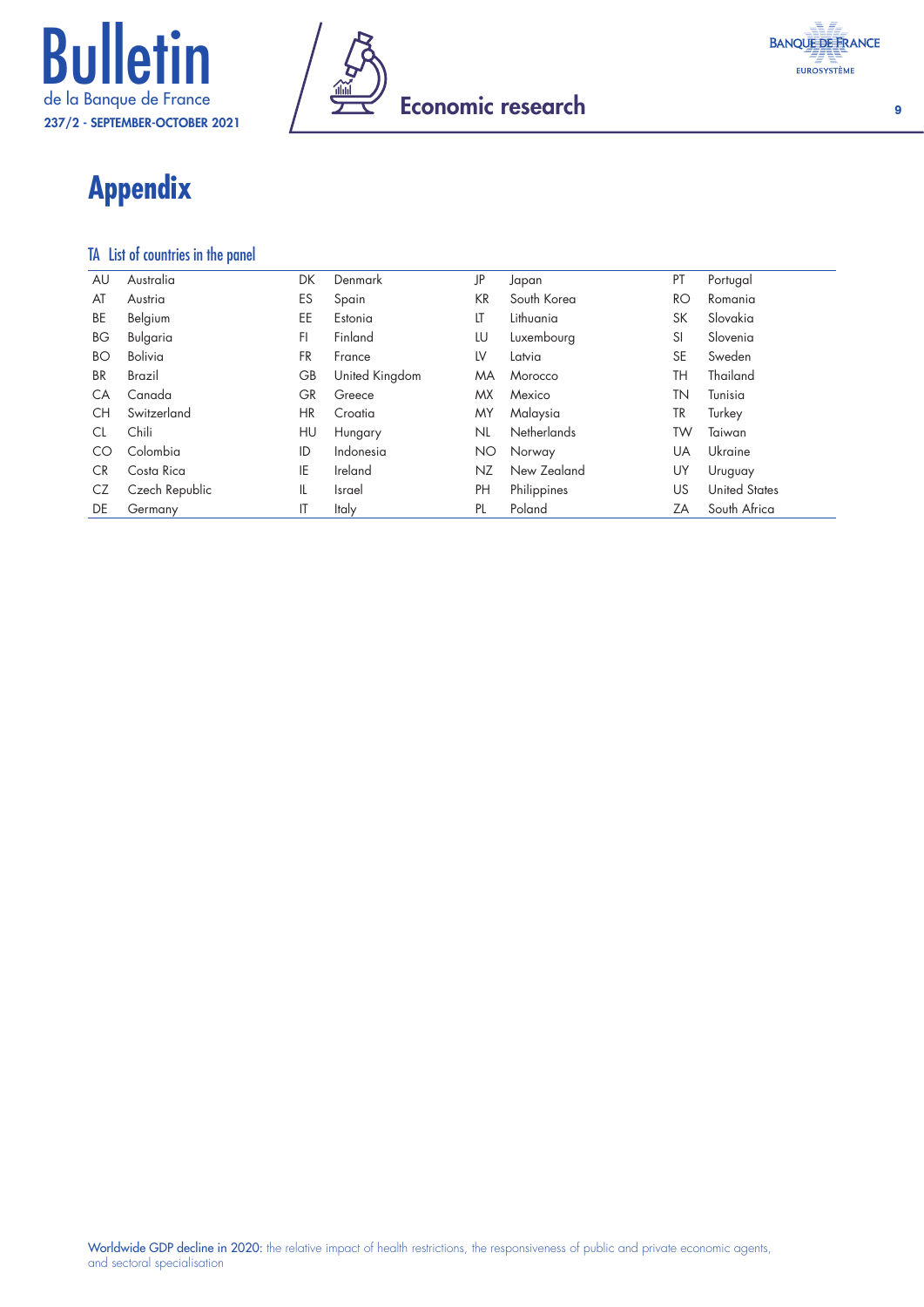



## **Appendix**

#### TA List of countries in the panel

| AU        | Australia      | DK        | Denmark        | JP  | Japan              | PT        | Portugal             |
|-----------|----------------|-----------|----------------|-----|--------------------|-----------|----------------------|
| AT        | Austria        | ES        | Spain          | KR  | South Korea        | RO        | Romania              |
| BE        | Belgium        | EE        | Estonia        | LT  | Lithuania          | SK        | Slovakia             |
| ВG        | Bulgaria       | FI.       | Finland        | LU  | Luxembourg         | SI        | Slovenia             |
| ВO        | Bolivia        | FR        | France         | LV  | Latvia             | <b>SE</b> | Sweden               |
| <b>BR</b> | Brazil         | GВ        | United Kingdom | ΜA  | Morocco            | TH        | Thailand             |
| СA        | Canada         | <b>GR</b> | Greece         | МX  | Mexico             | TΝ        | Tunisia              |
| СH        | Switzerland    | HR        | Croatia        | MΥ  | Malaysia           | TR        | Turkey               |
| CL        | Chili          | HU        | Hungary        | NL  | <b>Netherlands</b> | TW        | Taiwan               |
| CO        | Colombia       | ID        | Indonesia      | ΝO  | Norway             | UA        | Ukraine              |
| CR.       | Costa Rica     | IE        | Ireland        | NZ. | New Zealand        | UY        | Uruguay              |
| CZ        | Czech Republic | IL        | Israel         | PH  | Philippines        | US        | <b>United States</b> |
| DE        | Germany        | ΙT        | Italy          | PL  | Poland             | ZΑ        | South Africa         |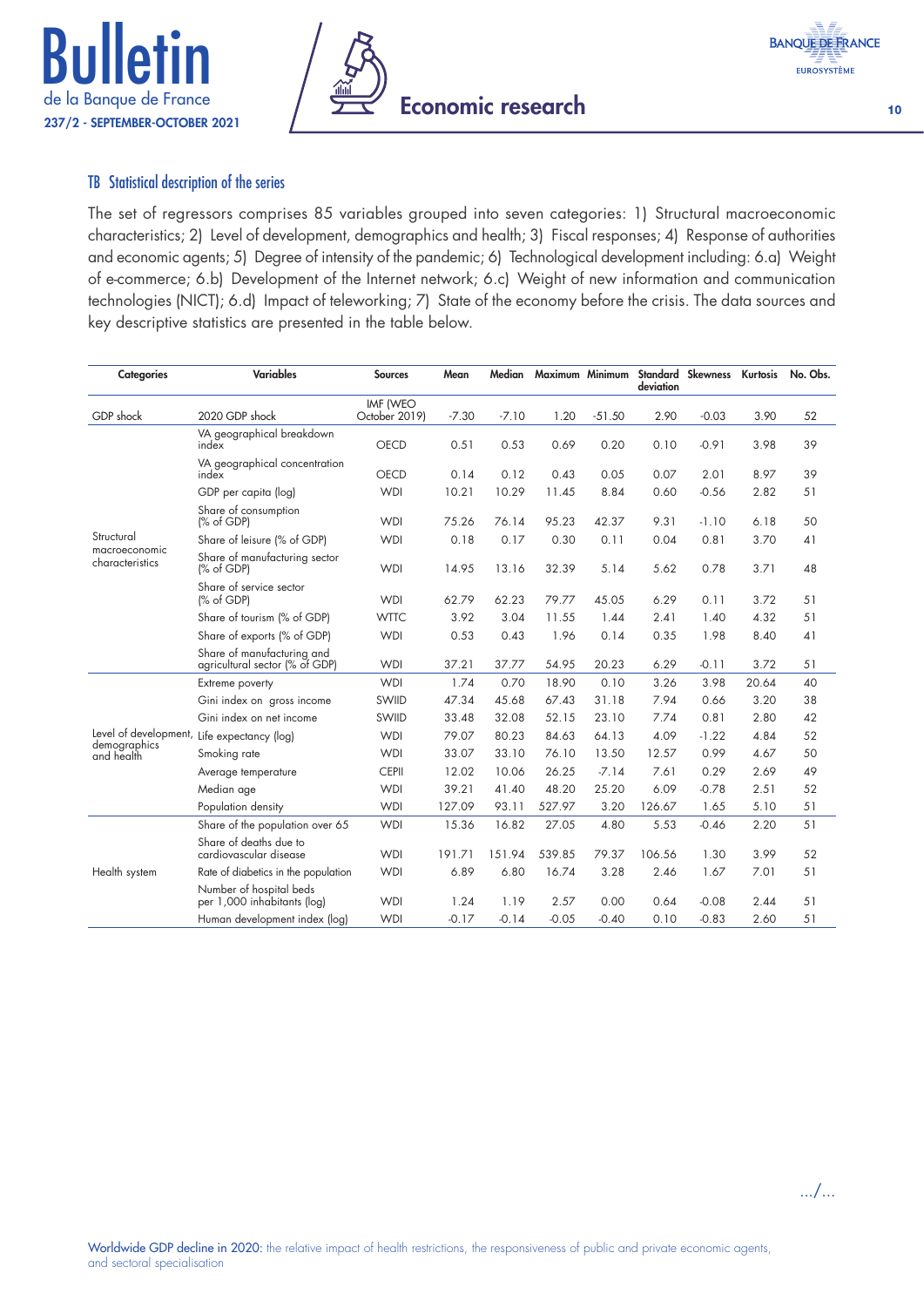





#### TB Statistical description of the series

The set of regressors comprises 85 variables grouped into seven categories: 1) Structural macroeconomic characteristics; 2) Level of development, demographics and health; 3) Fiscal responses; 4) Response of authorities and economic agents; 5) Degree of intensity of the pandemic; 6) Technological development including: 6.a) Weight of e-commerce; 6.b) Development of the Internet network; 6.c) Weight of new information and communication technologies (NICT); 6.d) Impact of teleworking; 7) State of the economy before the crisis. The data sources and key descriptive statistics are presented in the table below.

| <b>Categories</b>                | <b>Variables</b>                                             | <b>Sources</b>            | Mean    | Median  | Maximum Minimum |          | deviation | Standard Skewness | Kurtosis | No. Obs. |
|----------------------------------|--------------------------------------------------------------|---------------------------|---------|---------|-----------------|----------|-----------|-------------------|----------|----------|
| GDP shock                        | 2020 GDP shock                                               | IMF (WEO<br>October 2019) | $-7.30$ | $-7.10$ | 1.20            | $-51.50$ | 2.90      | $-0.03$           | 3.90     | 52       |
|                                  | VA geographical breakdown<br>index                           | <b>OECD</b>               | 0.51    | 0.53    | 0.69            | 0.20     | 0.10      | $-0.91$           | 3.98     | 39       |
|                                  | VA geographical concentration<br>index                       | OECD                      | 0.14    | 0.12    | 0.43            | 0.05     | 0.07      | 2.01              | 8.97     | 39       |
|                                  | GDP per capita (log)                                         | <b>WDI</b>                | 10.21   | 10.29   | 11.45           | 8.84     | 0.60      | $-0.56$           | 2.82     | 51       |
|                                  | Share of consumption<br>% of GDP                             | <b>WDI</b>                | 75.26   | 76.14   | 95.23           | 42.37    | 9.31      | $-1.10$           | 6.18     | 50       |
| Structural                       | Share of leisure (% of GDP)                                  | <b>WDI</b>                | 0.18    | 0.17    | 0.30            | 0.11     | 0.04      | 0.81              | 3.70     | 41       |
| macroeconomic<br>characteristics | Share of manufacturing sector<br>% of GDP                    | <b>WDI</b>                | 14.95   | 13.16   | 32.39           | 5.14     | 5.62      | 0.78              | 3.71     | 48       |
|                                  | Share of service sector<br>(% of GDP)                        | <b>WDI</b>                | 62.79   | 62.23   | 79.77           | 45.05    | 6.29      | 0.11              | 3.72     | 51       |
|                                  | Share of tourism (% of GDP)                                  | <b>WTTC</b>               | 3.92    | 3.04    | 11.55           | 1.44     | 2.41      | 1.40              | 4.32     | 51       |
|                                  | Share of exports (% of GDP)                                  | <b>WDI</b>                | 0.53    | 0.43    | 1.96            | 0.14     | 0.35      | 1.98              | 8.40     | 41       |
|                                  | Share of manufacturing and<br>agricultural sector (% of GDP) | <b>WDI</b>                | 37.21   | 37.77   | 54.95           | 20.23    | 6.29      | $-0.11$           | 3.72     | 51       |
|                                  | Extreme poverty                                              | <b>WDI</b>                | 1.74    | 0.70    | 18.90           | 0.10     | 3.26      | 3.98              | 20.64    | 40       |
|                                  | Gini index on gross income                                   | SWIID                     | 47.34   | 45.68   | 67.43           | 31.18    | 7.94      | 0.66              | 3.20     | 38       |
|                                  | Gini index on net income                                     | SWIID                     | 33.48   | 32.08   | 52.15           | 23.10    | 7.74      | 0.81              | 2.80     | 42       |
| demographics                     | Level of development, Life expectancy (log)                  | <b>WDI</b>                | 79.07   | 80.23   | 84.63           | 64.13    | 4.09      | $-1.22$           | 4.84     | 52       |
| and health                       | Smoking rate                                                 | <b>WDI</b>                | 33.07   | 33.10   | 76.10           | 13.50    | 12.57     | 0.99              | 4.67     | 50       |
|                                  | Average temperature                                          | <b>CEPII</b>              | 12.02   | 10.06   | 26.25           | $-7.14$  | 7.61      | 0.29              | 2.69     | 49       |
|                                  | Median age                                                   | <b>WDI</b>                | 39.21   | 41.40   | 48.20           | 25.20    | 6.09      | $-0.78$           | 2.51     | 52       |
|                                  | Population density                                           | <b>WDI</b>                | 127.09  | 93.11   | 527.97          | 3.20     | 126.67    | 1.65              | 5.10     | 51       |
|                                  | Share of the population over 65                              | <b>WDI</b>                | 15.36   | 16.82   | 27.05           | 4.80     | 5.53      | $-0.46$           | 2.20     | 51       |
|                                  | Share of deaths due to<br>cardiovascular disease             | <b>WDI</b>                | 191.71  | 151.94  | 539.85          | 79.37    | 106.56    | 1.30              | 3.99     | 52       |
| Health system                    | Rate of diabetics in the population                          | <b>WDI</b>                | 6.89    | 6.80    | 16.74           | 3.28     | 2.46      | 1.67              | 7.01     | 51       |
|                                  | Number of hospital beds<br>per 1,000 inhabitants (log)       | <b>WDI</b>                | 1.24    | 1.19    | 2.57            | 0.00     | 0.64      | $-0.08$           | 2.44     | 51       |
|                                  | Human development index (log)                                | <b>WDI</b>                | $-0.17$ | $-0.14$ | $-0.05$         | $-0.40$  | 0.10      | $-0.83$           | 2.60     | 51       |

.../...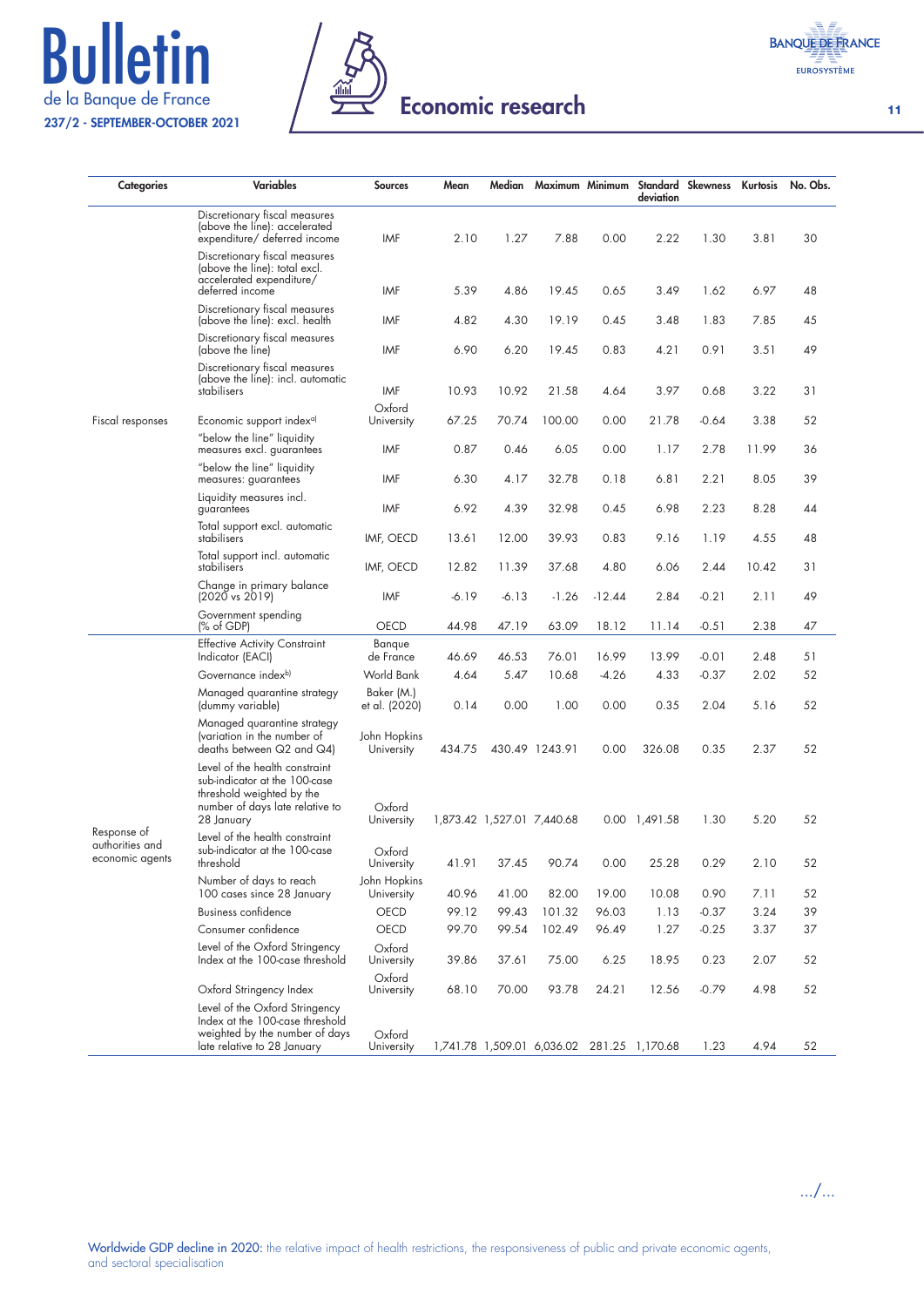# **Bulletin** 237/2 - SEPTEMBER-OCTOBER 2021





11

| <b>Categories</b>                                 | <b>Variables</b>                                                                                                                              | <b>Sources</b>              | Mean    | Median  | Maximum Minimum                            |          | deviation             | Standard Skewness Kurtosis |       | No. Obs. |
|---------------------------------------------------|-----------------------------------------------------------------------------------------------------------------------------------------------|-----------------------------|---------|---------|--------------------------------------------|----------|-----------------------|----------------------------|-------|----------|
|                                                   | Discretionary fiscal measures<br>(above the line): accelerated<br>expenditure/ deferred income                                                | IMF                         | 2.10    | 1.27    | 7.88                                       | 0.00     | 2.22                  | 1.30                       | 3.81  | 30       |
|                                                   | Discretionary fiscal measures<br>(above the line): total excl.<br>accelerated expenditure/<br>deferred income                                 | IMF                         | 5.39    | 4.86    | 19.45                                      | 0.65     | 3.49                  | 1.62                       | 6.97  | 48       |
|                                                   | Discretionary fiscal measures<br>(above the line): excl. health                                                                               | IMF                         | 4.82    | 4.30    | 19.19                                      | 0.45     | 3.48                  | 1.83                       | 7.85  | 45       |
|                                                   | Discretionary fiscal measures<br>(above the line)                                                                                             | IMF                         | 6.90    | 6.20    | 19.45                                      | 0.83     | 4.21                  | 0.91                       | 3.51  | 49       |
|                                                   | Discretionary fiscal measures<br>(above the line): incl. automatic<br>stabilisers                                                             | IMF                         | 10.93   | 10.92   | 21.58                                      | 4.64     | 3.97                  | 0.68                       | 3.22  | 31       |
| Fiscal responses                                  | Economic support index <sup>a)</sup>                                                                                                          | Oxford<br>University        | 67.25   | 70.74   | 100.00                                     | 0.00     | 21.78                 | $-0.64$                    | 3.38  | 52       |
|                                                   | "below the line" liquidity<br>measures excl. guarantees                                                                                       | IMF                         | 0.87    | 0.46    | 6.05                                       | 0.00     | 1.17                  | 2.78                       | 11.99 | 36       |
|                                                   | "below the line" liquidity<br>measures: guarantees                                                                                            | <b>IMF</b>                  | 6.30    | 4.17    | 32.78                                      | 0.18     | 6.81                  | 2.21                       | 8.05  | 39       |
|                                                   | Liquidity measures incl.<br>guarantees                                                                                                        | IMF                         | 6.92    | 4.39    | 32.98                                      | 0.45     | 6.98                  | 2.23                       | 8.28  | 44       |
|                                                   | Total support excl. automatic<br>stabilisers                                                                                                  | IMF, OECD                   | 13.61   | 12.00   | 39.93                                      | 0.83     | 9.16                  | 1.19                       | 4.55  | 48       |
|                                                   | Total support incl. automatic<br>stabilisers                                                                                                  | IMF, OECD                   | 12.82   | 11.39   | 37.68                                      | 4.80     | 6.06                  | 2.44                       | 10.42 | 31       |
|                                                   | Change in primary balance<br>$(2020 \text{ vs } 2019)$                                                                                        | IMF                         | $-6.19$ | $-6.13$ | $-1.26$                                    | $-12.44$ | 2.84                  | $-0.21$                    | 2.11  | 49       |
|                                                   | Government spending<br>(% of GDP)                                                                                                             | <b>OECD</b>                 | 44.98   | 47.19   | 63.09                                      | 18.12    | 11.14                 | $-0.51$                    | 2.38  | 47       |
|                                                   | <b>Effective Activity Constraint</b><br>Indicator (EACI)                                                                                      | Banque<br>de France         | 46.69   | 46.53   | 76.01                                      | 16.99    | 13.99                 | $-0.01$                    | 2.48  | 51       |
|                                                   | Governance index <sup>b)</sup>                                                                                                                | World Bank                  | 4.64    | 5.47    | 10.68                                      | $-4.26$  | 4.33                  | $-0.37$                    | 2.02  | 52       |
|                                                   | Managed quarantine strategy<br>(dummy variable)                                                                                               | Baker (M.)<br>et al. (2020) | 0.14    | 0.00    | 1.00                                       | 0.00     | 0.35                  | 2.04                       | 5.16  | 52       |
|                                                   | Managed quarantine strategy<br>(variation in the number of<br>deaths between $Q2$ and $Q4$                                                    | John Hopkins<br>University  | 434.75  |         | 430.49 1243.91                             | 0.00     | 326.08                | 0.35                       | 2.37  | 52       |
|                                                   | Level of the health constraint<br>sub-indicator at the 100-case<br>threshold weighted by the<br>number of days late relative to<br>28 January | Oxford<br>University        |         |         | 1,873.42 1,527.01 7,440.68                 |          | $0.00 \quad 1,491.58$ | 1.30                       | 5.20  | 52       |
| Response of<br>authorities and<br>economic agents | Level of the health constraint<br>sub-indicator at the 100-case<br>threshold                                                                  | Oxford<br>University        | 41.91   | 37.45   | 90.74                                      | 0.00     | 25.28                 | 0.29                       | 2.10  | 52       |
|                                                   | Number of days to reach<br>100 cases since 28 January                                                                                         | John Hopkins<br>University  | 40.96   | 41.00   | 82.00                                      | 19.00    | 10.08                 | 0.90                       | 7.11  | 52       |
|                                                   | <b>Business confidence</b>                                                                                                                    | <b>OECD</b>                 | 99.12   | 99.43   | 101.32                                     | 96.03    | 1.13                  | $-0.37$                    | 3.24  | 39       |
|                                                   | Consumer confidence                                                                                                                           | OECD                        | 99.70   | 99.54   | 102.49                                     | 96.49    | 1.27                  | $-0.25$                    | 3.37  | 37       |
|                                                   | Level of the Oxford Stringency<br>Index at the 100-case threshold                                                                             | Oxford<br>University        | 39.86   | 37.61   | 75.00                                      | 6.25     | 18.95                 | 0.23                       | 2.07  | 52       |
|                                                   | Oxford Stringency Index                                                                                                                       | Oxford<br>University        | 68.10   | 70.00   | 93.78                                      | 24.21    | 12.56                 | $-0.79$                    | 4.98  | 52       |
|                                                   | Level of the Oxford Stringency<br>Index at the 100-case threshold<br>weighted by the number of days<br>late relative to 28 January            | Oxford<br>University        |         |         | 1,741.78 1,509.01 6,036.02 281.25 1,170.68 |          |                       | 1.23                       | 4.94  | 52       |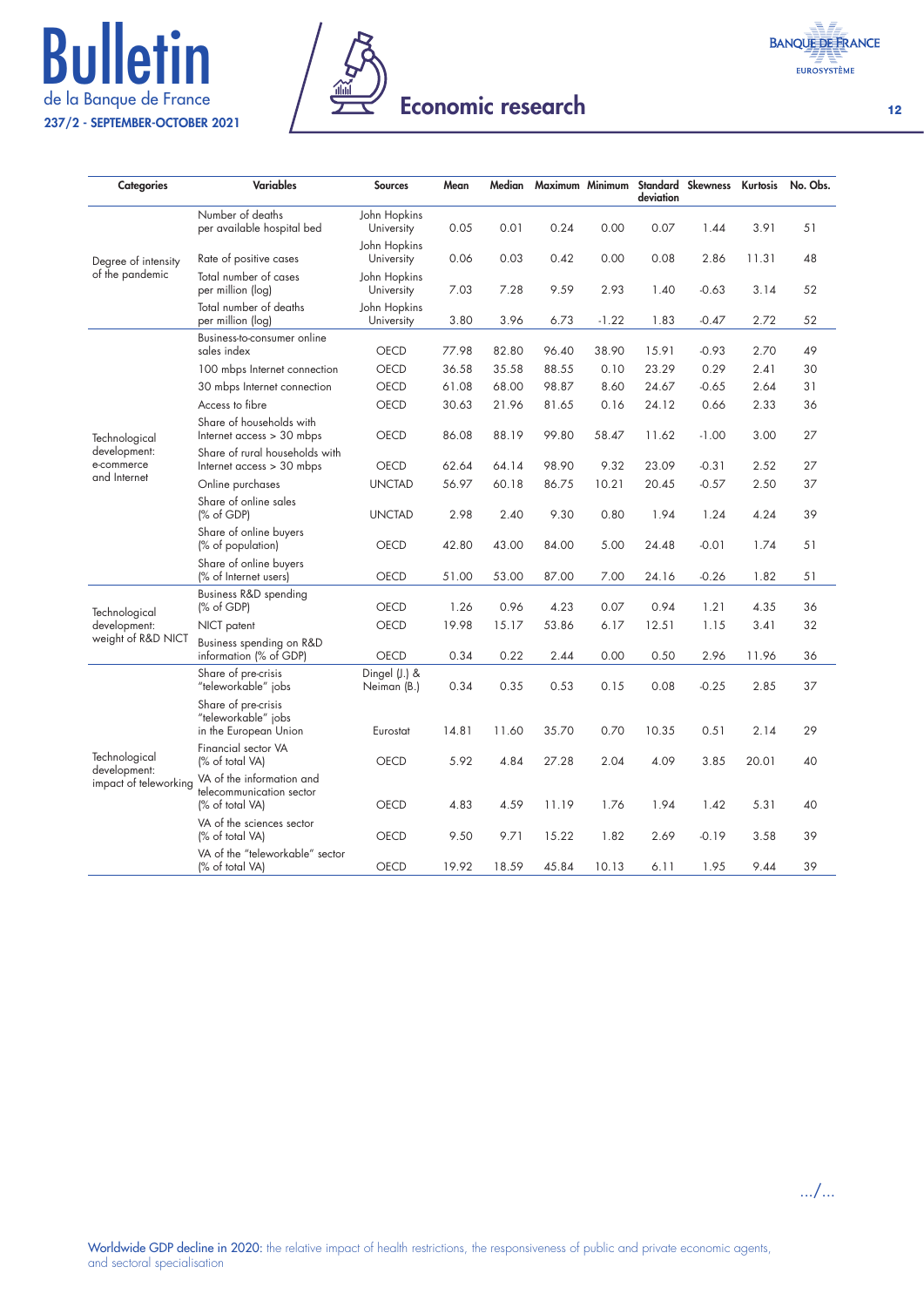# **Bulletin** 237/2 - SEPTEMBER-OCTOBER 2021



| <b>BANOUE DE FRANCE</b> |
|-------------------------|
| <b>EUROSYSTÈME</b>      |

| <b>Categories</b>                     | <b>Variables</b>                                                         | <b>Sources</b>               | Mean  | Median |       |         | deviation | Maximum Minimum Standard Skewness | Kurtosis | No. Obs. |
|---------------------------------------|--------------------------------------------------------------------------|------------------------------|-------|--------|-------|---------|-----------|-----------------------------------|----------|----------|
|                                       | Number of deaths<br>per available hospital bed                           | John Hopkins<br>University   | 0.05  | 0.01   | 0.24  | 0.00    | 0.07      | 1.44                              | 3.91     | 51       |
| Degree of intensity                   | Rate of positive cases                                                   | John Hopkins<br>University   | 0.06  | 0.03   | 0.42  | 0.00    | 0.08      | 2.86                              | 11.31    | 48       |
| of the pandemic                       | Total number of cases<br>per million (log)                               | John Hopkins<br>University   | 7.03  | 7.28   | 9.59  | 2.93    | 1.40      | $-0.63$                           | 3.14     | 52       |
|                                       | Total number of deaths<br>per million (log)                              | John Hopkins<br>University   | 3.80  | 3.96   | 6.73  | $-1.22$ | 1.83      | $-0.47$                           | 2.72     | 52       |
|                                       | Business-to-consumer online<br>sales index                               | OECD                         | 77.98 | 82.80  | 96.40 | 38.90   | 15.91     | $-0.93$                           | 2.70     | 49       |
|                                       | 100 mbps Internet connection                                             | <b>OECD</b>                  | 36.58 | 35.58  | 88.55 | 0.10    | 23.29     | 0.29                              | 2.41     | 30       |
|                                       | 30 mbps Internet connection                                              | <b>OECD</b>                  | 61.08 | 68.00  | 98.87 | 8.60    | 24.67     | $-0.65$                           | 2.64     | 31       |
|                                       | Access to fibre                                                          | <b>OECD</b>                  | 30.63 | 21.96  | 81.65 | 0.16    | 24.12     | 0.66                              | 2.33     | 36       |
| Technological                         | Share of households with<br>Internet access > 30 mbps                    | OECD                         | 86.08 | 88.19  | 99.80 | 58.47   | 11.62     | $-1.00$                           | 3.00     | 27       |
| development:<br>e-commerce            | Share of rural households with<br>Internet access > 30 mbps              | OECD                         | 62.64 | 64.14  | 98.90 | 9.32    | 23.09     | $-0.31$                           | 2.52     | 27       |
| and Internet                          | Online purchases                                                         | <b>UNCTAD</b>                | 56.97 | 60.18  | 86.75 | 10.21   | 20.45     | $-0.57$                           | 2.50     | 37       |
|                                       | Share of online sales<br>(% of GDP)                                      | <b>UNCTAD</b>                | 2.98  | 2.40   | 9.30  | 0.80    | 1.94      | 1.24                              | 4.24     | 39       |
|                                       | Share of online buyers<br>(% of population)                              | <b>OECD</b>                  | 42.80 | 43.00  | 84.00 | 5.00    | 24.48     | $-0.01$                           | 1.74     | 51       |
|                                       | Share of online buyers<br>(% of Internet users)                          | <b>OECD</b>                  | 51.00 | 53.00  | 87.00 | 7.00    | 24.16     | $-0.26$                           | 1.82     | 51       |
| Technological                         | Business R&D spending<br>(% of GDP)                                      | <b>OECD</b>                  | 1.26  | 0.96   | 4.23  | 0.07    | 0.94      | 1.21                              | 4.35     | 36       |
| development:                          | NICT patent                                                              | OECD                         | 19.98 | 15.17  | 53.86 | 6.17    | 12.51     | 1.15                              | 3.41     | 32       |
| weight of R&D NICT                    | Business spending on R&D<br>information (% of GDP)                       | OECD                         | 0.34  | 0.22   | 2.44  | 0.00    | 0.50      | 2.96                              | 11.96    | 36       |
|                                       | Share of pre-crisis<br>"teleworkable" jobs                               | Dingel (J.) &<br>Neiman (B.) | 0.34  | 0.35   | 0.53  | 0.15    | 0.08      | $-0.25$                           | 2.85     | 37       |
|                                       | Share of pre-crisis<br>"teleworkable" jobs<br>in the European Union      | Eurostat                     | 14.81 | 11.60  | 35.70 | 0.70    | 10.35     | 0.51                              | 2.14     | 29       |
| Technological                         | Financial sector VA<br>(% of total VA)                                   | <b>OECD</b>                  | 5.92  | 4.84   | 27.28 | 2.04    | 4.09      | 3.85                              | 20.01    | 40       |
| development:<br>impact of teleworking | VA of the information and<br>telecommunication sector<br>(% of total VA) | <b>OECD</b>                  | 4.83  | 4.59   | 11.19 | 1.76    | 1.94      | 1.42                              | 5.31     | 40       |
|                                       | VA of the sciences sector<br>(% of total VA)                             | <b>OECD</b>                  | 9.50  | 9.71   | 15.22 | 1.82    | 2.69      | $-0.19$                           | 3.58     | 39       |
|                                       | VA of the "teleworkable" sector<br>(% of total VA)                       | OECD                         | 19.92 | 18.59  | 45.84 | 10.13   | 6.11      | 1.95                              | 9.44     | 39       |

12